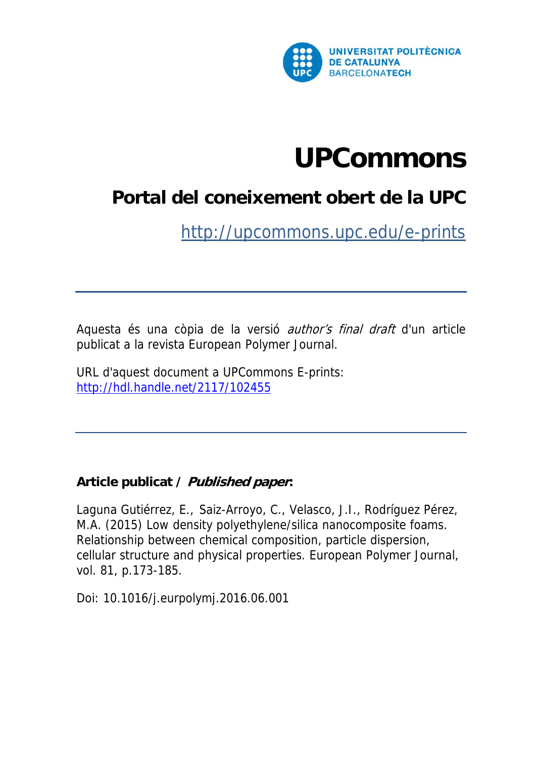

# **UPCommons**

## **Portal del coneixement obert de la UPC**

http://upcommons.upc.edu/e-prints

Aquesta és una còpia de la versió author's final draft d'un article publicat a la revista European Polymer Journal.

URL d'aquest document a UPCommons E-prints: http://hdl.handle.net/2117/102455

### **Article publicat / Published paper:**

Laguna Gutiérrez, E., Saiz-Arroyo, C., Velasco, J.I., Rodríguez Pérez, M.A. (2015) Low density polyethylene/silica nanocomposite foams. Relationship between chemical composition, particle dispersion, cellular structure and physical properties. European Polymer Journal, vol. 81, p.173-185.

Doi: 10.1016/j.eurpolymj.2016.06.001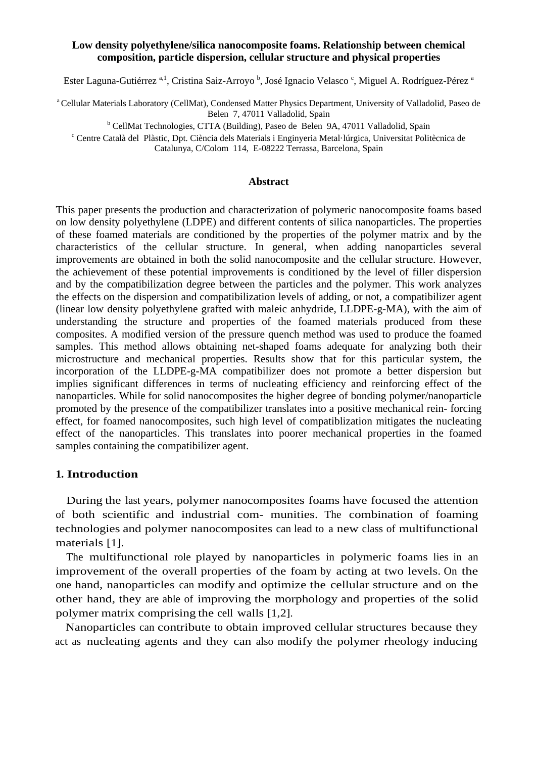#### **Low density polyethylene/silica nanocomposite foams. Relationship between chemical composition, particle dispersion, cellular structure and physical properties**

Ester Laguna-Gutiérrez <sup>a, 1</sup>, Cristina Saiz-Arroyo <sup>b</sup>, José Ignacio Velasco <sup>c</sup>, Miguel A. Rodríguez-Pérez <sup>a</sup>

<sup>a</sup> Cellular Materials Laboratory (CellMat), Condensed Matter Physics Department, University of Valladolid, Paseo de Belen 7, 47011 Valladolid, Spain<br><sup>b</sup> CollMet Technologies, CTTA (Puilding), Basso de, Belen 0.

<sup>b</sup> CellMat Technologies, CTTA (Building), Paseo de Belen 9A, 47011 Valladolid, Spain<br>Centre Cetelà del Plàstic Dat Ciància dels Materials i Enginyario Matel lárgica Universitat Polit

 Centre Català del Plàstic, Dpt. Ciència dels Materials i Enginyeria Metal·lúrgica, Universitat Politècnica de Catalunya, C/Colom 114, E-08222 Terrassa, Barcelona, Spain

#### **Abstract**

This paper presents the production and characterization of polymeric nanocomposite foams based on low density polyethylene (LDPE) and different contents of silica nanoparticles. The properties of these foamed materials are conditioned by the properties of the polymer matrix and by the characteristics of the cellular structure. In general, when adding nanoparticles several improvements are obtained in both the solid nanocomposite and the cellular structure. However, the achievement of these potential improvements is conditioned by the level of filler dispersion and by the compatibilization degree between the particles and the polymer. This work analyzes the effects on the dispersion and compatibilization levels of adding, or not, a compatibilizer agent (linear low density polyethylene grafted with maleic anhydride, LLDPE-g-MA), with the aim of understanding the structure and properties of the foamed materials produced from these composites. A modified version of the pressure quench method was used to produce the foamed samples. This method allows obtaining net-shaped foams adequate for analyzing both their microstructure and mechanical properties. Results show that for this particular system, the incorporation of the LLDPE-g-MA compatibilizer does not promote a better dispersion but implies significant differences in terms of nucleating efficiency and reinforcing effect of the nanoparticles. While for solid nanocomposites the higher degree of bonding polymer/nanoparticle promoted by the presence of the compatibilizer translates into a positive mechanical rein- forcing effect, for foamed nanocomposites, such high level of compatiblization mitigates the nucleating effect of the nanoparticles. This translates into poorer mechanical properties in the foamed samples containing the compatibilizer agent.

#### **1. Introduction**

During the last years, polymer nanocomposites foams have focused the attention of both scientific and industrial com- munities. The combination of foaming technologies and polymer nanocomposites can lead to a new class of multifunctional materials [1].

The multifunctional role played by nanoparticles in polymeric foams lies in an improvement of the overall properties of the foam by acting at two levels. On the one hand, nanoparticles can modify and optimize the cellular structure and on the other hand, they are able of improving the morphology and properties of the solid polymer matrix comprising the cell walls [1,2].

Nanoparticles can contribute to obtain improved cellular structures because they act as nucleating agents and they can also modify the polymer rheology inducing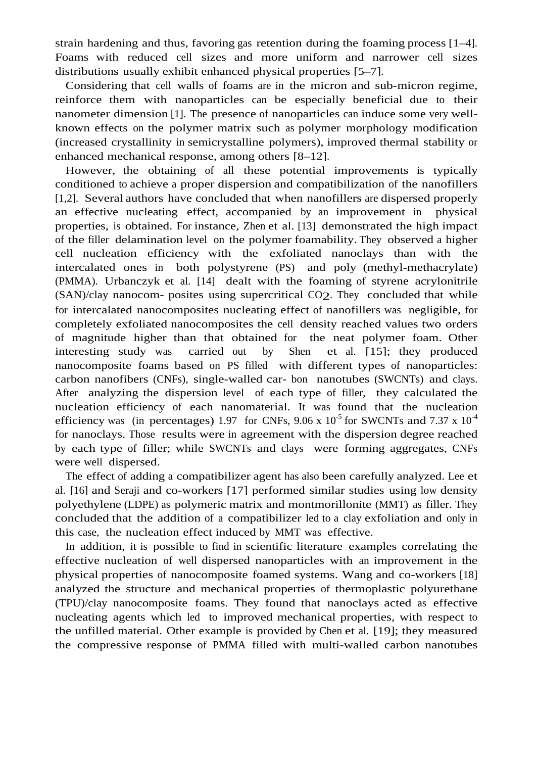strain hardening and thus, favoring gas retention during the foaming process [1–4]. Foams with reduced cell sizes and more uniform and narrower cell sizes distributions usually exhibit enhanced physical properties [5–7].

Considering that cell walls of foams are in the micron and sub-micron regime, reinforce them with nanoparticles can be especially beneficial due to their nanometer dimension [1]. The presence of nanoparticles can induce some very wellknown effects on the polymer matrix such as polymer morphology modification (increased crystallinity in semicrystalline polymers), improved thermal stability or enhanced mechanical response, among others [8–12].

However, the obtaining of all these potential improvements is typically conditioned to achieve a proper dispersion and compatibilization of the nanofillers [1,2]. Several authors have concluded that when nanofillers are dispersed properly an effective nucleating effect, accompanied by an improvement in physical properties, is obtained. For instance, Zhen et al. [13] demonstrated the high impact of the filler delamination level on the polymer foamability. They observed a higher cell nucleation efficiency with the exfoliated nanoclays than with the intercalated ones in both polystyrene (PS) and poly (methyl-methacrylate) (PMMA). Urbanczyk et al. [14] dealt with the foaming of styrene acrylonitrile (SAN)/clay nanocom- posites using supercritical CO2. They concluded that while for intercalated nanocomposites nucleating effect of nanofillers was negligible, for completely exfoliated nanocomposites the cell density reached values two orders of magnitude higher than that obtained for the neat polymer foam. Other interesting study was carried out by Shen et al. [15]; they produced nanocomposite foams based on PS filled with different types of nanoparticles: carbon nanofibers (CNFs), single-walled car- bon nanotubes (SWCNTs) and clays. After analyzing the dispersion level of each type of filler, they calculated the nucleation efficiency of each nanomaterial. It was found that the nucleation efficiency was (in percentages) 1.97 for CNFs, 9.06 x  $10^{-5}$  for SWCNTs and 7.37 x  $10^{-4}$ for nanoclays. Those results were in agreement with the dispersion degree reached by each type of filler; while SWCNTs and clays were forming aggregates, CNFs were well dispersed.

The effect of adding a compatibilizer agent has also been carefully analyzed. Lee et al. [16] and Seraji and co-workers [17] performed similar studies using low density polyethylene (LDPE) as polymeric matrix and montmorillonite (MMT) as filler. They concluded that the addition of a compatibilizer led to a clay exfoliation and only in this case, the nucleation effect induced by MMT was effective.

In addition, it is possible to find in scientific literature examples correlating the effective nucleation of well dispersed nanoparticles with an improvement in the physical properties of nanocomposite foamed systems. Wang and co-workers [18] analyzed the structure and mechanical properties of thermoplastic polyurethane (TPU)/clay nanocomposite foams. They found that nanoclays acted as effective nucleating agents which led to improved mechanical properties, with respect to the unfilled material. Other example is provided by Chen et al. [19]; they measured the compressive response of PMMA filled with multi-walled carbon nanotubes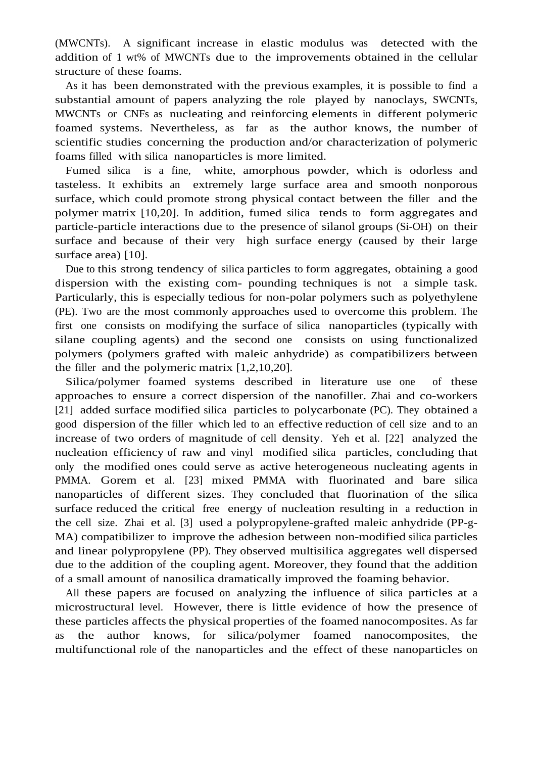(MWCNTs). A significant increase in elastic modulus was detected with the addition of 1 wt% of MWCNTs due to the improvements obtained in the cellular structure of these foams.

As it has been demonstrated with the previous examples, it is possible to find a substantial amount of papers analyzing the role played by nanoclays, SWCNTs, MWCNTs or CNFs as nucleating and reinforcing elements in different polymeric foamed systems. Nevertheless, as far as the author knows, the number of scientific studies concerning the production and/or characterization of polymeric foams filled with silica nanoparticles is more limited.

Fumed silica is a fine, white, amorphous powder, which is odorless and tasteless. It exhibits an extremely large surface area and smooth nonporous surface, which could promote strong physical contact between the filler and the polymer matrix [10,20]. In addition, fumed silica tends to form aggregates and particle-particle interactions due to the presence of silanol groups (Si-OH) on their surface and because of their very high surface energy (caused by their large surface area) [10].

Due to this strong tendency of silica particles to form aggregates, obtaining a good dispersion with the existing com- pounding techniques is not a simple task. Particularly, this is especially tedious for non-polar polymers such as polyethylene (PE). Two are the most commonly approaches used to overcome this problem. The first one consists on modifying the surface of silica nanoparticles (typically with silane coupling agents) and the second one consists on using functionalized polymers (polymers grafted with maleic anhydride) as compatibilizers between the filler and the polymeric matrix [1,2,10,20].

Silica/polymer foamed systems described in literature use one of these approaches to ensure a correct dispersion of the nanofiller. Zhai and co-workers [21] added surface modified silica particles to polycarbonate (PC). They obtained a good dispersion of the filler which led to an effective reduction of cell size and to an increase of two orders of magnitude of cell density. Yeh et al. [22] analyzed the nucleation efficiency of raw and vinyl modified silica particles, concluding that only the modified ones could serve as active heterogeneous nucleating agents in PMMA. Gorem et al. [23] mixed PMMA with fluorinated and bare silica nanoparticles of different sizes. They concluded that fluorination of the silica surface reduced the critical free energy of nucleation resulting in a reduction in the cell size. Zhai et al. [3] used a polypropylene-grafted maleic anhydride (PP-g-MA) compatibilizer to improve the adhesion between non-modified silica particles and linear polypropylene (PP). They observed multisilica aggregates well dispersed due to the addition of the coupling agent. Moreover, they found that the addition of a small amount of nanosilica dramatically improved the foaming behavior.

All these papers are focused on analyzing the influence of silica particles at a microstructural level. However, there is little evidence of how the presence of these particles affects the physical properties of the foamed nanocomposites. As far as the author knows, for silica/polymer foamed nanocomposites, the multifunctional role of the nanoparticles and the effect of these nanoparticles on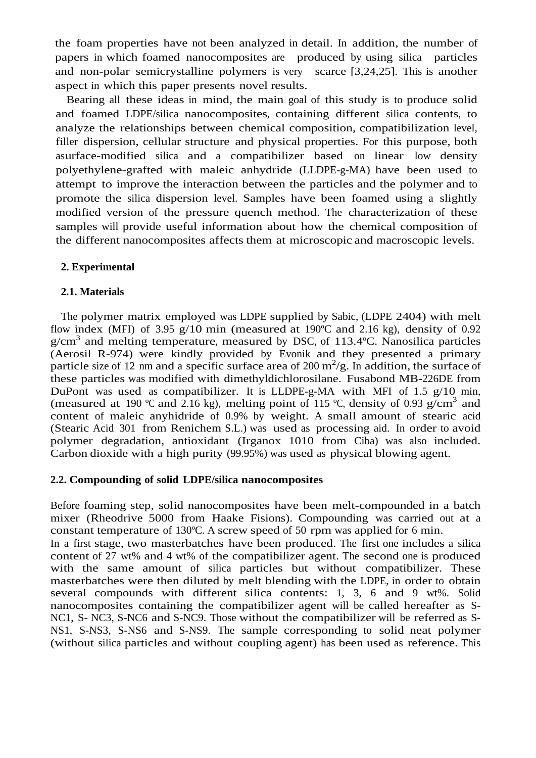the foam properties have not been analyzed in detail. In addition, the number of papers in which foamed nanocomposites are produced by using silica particles and non-polar semicrystalline polymers is very scarce [3,24,25]. This is another aspect in which this paper presents novel results.

Bearing all these ideas in mind, the main goal of this study is to produce solid and foamed LDPE/silica nanocomposites, containing different silica contents, to analyze the relationships between chemical composition, compatibilization level, filler dispersion, cellular structure and physical properties. For this purpose, both asurface-modified silica and a compatibilizer based on linear low density polyethylene-grafted with maleic anhydride (LLDPE-g-MA) have been used to attempt to improve the interaction between the particles and the polymer and to promote the silica dispersion level. Samples have been foamed using a slightly modified version of the pressure quench method. The characterization of these samples will provide useful information about how the chemical composition of the different nanocomposites affects them at microscopic and macroscopic levels.

#### **2. Experimental**

#### **2.1. Materials**

The polymer matrix employed was LDPE supplied by Sabic, (LDPE 2404) with melt flow index (MFI) of 3.95  $g/10$  min (measured at 190°C and 2.16 kg), density of 0.92 g/cm<sup>3</sup> and melting temperature, measured by DSC, of 113.4°C. Nanosilica particles (Aerosil R-974) were kindly provided by Evonik and they presented a primary particle size of 12 nm and a specific surface area of 200  $\text{m}^2/\text{g}$ . In addition, the surface of these particles was modified with dimethyldichlorosilane. Fusabond MB-226DE from DuPont was used as compatibilizer. It is LLDPE-g-MA with MFI of 1.5 g/10 min, (measured at 190 °C and 2.16 kg), melting point of 115 °C, density of 0.93 g/cm<sup>3</sup> and content of maleic anyhidride of 0.9% by weight. A small amount of stearic acid (Stearic Acid 301 from Renichem S.L.) was used as processing aid. In order to avoid polymer degradation, antioxidant (Irganox 1010 from Ciba) was also included. Carbon dioxide with a high purity (99.95%) was used as physical blowing agent.

#### **2.2. Compounding of solid LDPE/silica nanocomposites**

Before foaming step, solid nanocomposites have been melt-compounded in a batch mixer (Rheodrive 5000 from Haake Fisions). Compounding was carried out at a constant temperature of 130ºC. A screw speed of 50 rpm was applied for 6 min.

In a first stage, two masterbatches have been produced. The first one includes a silica content of 27 wt% and 4 wt% of the compatibilizer agent. The second one is produced with the same amount of silica particles but without compatibilizer. These masterbatches were then diluted by melt blending with the LDPE, in order to obtain several compounds with different silica contents: 1, 3, 6 and 9 wt%. Solid nanocomposites containing the compatibilizer agent will be called hereafter as S-NC1, S- NC3, S-NC6 and S-NC9. Those without the compatibilizer will be referred as S-NS1, S-NS3, S-NS6 and S-NS9. The sample corresponding to solid neat polymer (without silica particles and without coupling agent) has been used as reference. This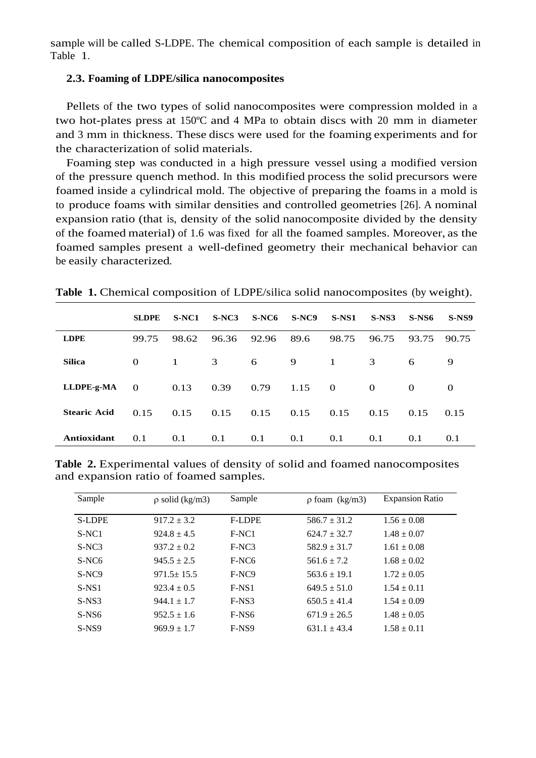sample will be called S-LDPE. The chemical composition of each sample is detailed in Table 1.

#### **2.3. Foaming of LDPE/silica nanocomposites**

Pellets of the two types of solid nanocomposites were compression molded in a two hot-plates press at 150ºC and 4 MPa to obtain discs with 20 mm in diameter and 3 mm in thickness. These discs were used for the foaming experiments and for the characterization of solid materials.

Foaming step was conducted in a high pressure vessel using a modified version of the pressure quench method. In this modified process the solid precursors were foamed inside a cylindrical mold. The objective of preparing the foams in a mold is to produce foams with similar densities and controlled geometries [26]. A nominal expansion ratio (that is, density of the solid nanocomposite divided by the density of the foamed material) of 1.6 was fixed for all the foamed samples. Moreover, as the foamed samples present a well-defined geometry their mechanical behavior can be easily characterized.

| Table 1. Chemical composition of LDPE/silica solid nanocomposites (by weight). |  |
|--------------------------------------------------------------------------------|--|
|--------------------------------------------------------------------------------|--|

|                     | <b>SLDPE</b> | S-NC1        | $S-NC3$ | $S-NC6$ | $S-NC9$ | $S-NS1$      | $S-NS3$  | $S-NS6$  | $S-NS9$ |
|---------------------|--------------|--------------|---------|---------|---------|--------------|----------|----------|---------|
| <b>LDPE</b>         | 99.75        | 98.62        | 96.36   | 92.96   | 89.6    | 98.75        | 96.75    | 93.75    | 90.75   |
| <b>Silica</b>       | $\Omega$     | $\mathbf{1}$ | 3       | 6       | 9       | $\mathbf{1}$ | 3        | 6        | 9       |
| LLDPE-g-MA          | $\Omega$     | 0.13         | 0.39    | 0.79    | 1.15    | $\theta$     | $\Omega$ | $\Omega$ | 0       |
| <b>Stearic Acid</b> | 0.15         | 0.15         | 0.15    | 0.15    | 0.15    | 0.15         | 0.15     | 0.15     | 0.15    |
| Antioxidant         | 0.1          | 0.1          | 0.1     | 0.1     | 0.1     | 0.1          | 0.1      | 0.1      | 0.1     |

**Table 2.** Experimental values of density of solid and foamed nanocomposites and expansion ratio of foamed samples.

| Sample            | $\rho$ solid (kg/m3) | Sample            | $\rho$ foam (kg/m3) | <b>Expansion Ratio</b> |
|-------------------|----------------------|-------------------|---------------------|------------------------|
| <b>S-LDPE</b>     | $917.2 \pm 3.2$      | <b>F-LDPE</b>     | $586.7 \pm 31.2$    | $1.56 \pm 0.08$        |
| $S-NC1$           | $924.8 \pm 4.5$      | $F-NC1$           | $624.7 \pm 32.7$    | $1.48 \pm 0.07$        |
| $S-NC3$           | $937.2 \pm 0.2$      | F-NC3             | $582.9 \pm 31.7$    | $1.61 \pm 0.08$        |
| $S-NC6$           | $945.5 \pm 2.5$      | F-NC <sub>6</sub> | $561.6 \pm 7.2$     | $1.68 \pm 0.02$        |
| S-NC <sub>9</sub> | $971.5 \pm 15.5$     | F-NC9             | $563.6 \pm 19.1$    | $1.72 \pm 0.05$        |
| $S-NS1$           | $923.4 \pm 0.5$      | $F-NS1$           | $649.5 \pm 51.0$    | $1.54 \pm 0.11$        |
| $S-NS3$           | $944.1 \pm 1.7$      | $F-NS3$           | $650.5 \pm 41.4$    | $1.54 \pm 0.09$        |
| $S-NS6$           | $952.5 \pm 1.6$      | F-NS <sub>6</sub> | $671.9 \pm 26.5$    | $1.48 \pm 0.05$        |
| $S-NS9$           | $969.9 \pm 1.7$      | F-NS9             | $631.1 \pm 43.4$    | $1.58 \pm 0.11$        |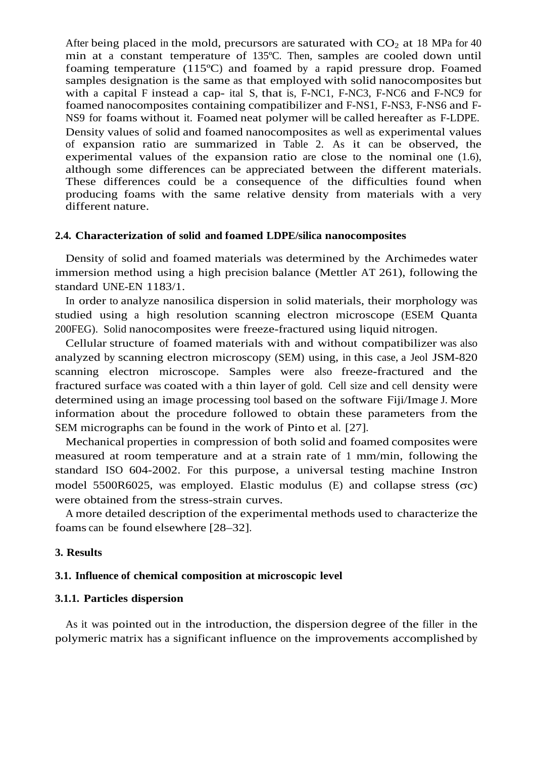After being placed in the mold, precursors are saturated with  $CO<sub>2</sub>$  at 18 MPa for 40 min at a constant temperature of 135ºC. Then, samples are cooled down until foaming temperature (115ºC) and foamed by a rapid pressure drop. Foamed samples designation is the same as that employed with solid nanocomposites but with a capital F instead a cap- ital S, that is, F-NC1, F-NC3, F-NC6 and F-NC9 for foamed nanocomposites containing compatibilizer and F-NS1, F-NS3, F-NS6 and F-NS9 for foams without it. Foamed neat polymer will be called hereafter as F-LDPE. Density values of solid and foamed nanocomposites as well as experimental values of expansion ratio are summarized in Table 2. As it can be observed, the experimental values of the expansion ratio are close to the nominal one (1.6), although some differences can be appreciated between the different materials. These differences could be a consequence of the difficulties found when

producing foams with the same relative density from materials with a very different nature.

#### **2.4. Characterization of solid and foamed LDPE/silica nanocomposites**

Density of solid and foamed materials was determined by the Archimedes water immersion method using a high precision balance (Mettler AT 261), following the standard UNE-EN 1183/1.

In order to analyze nanosilica dispersion in solid materials, their morphology was studied using a high resolution scanning electron microscope (ESEM Quanta 200FEG). Solid nanocomposites were freeze-fractured using liquid nitrogen.

Cellular structure of foamed materials with and without compatibilizer was also analyzed by scanning electron microscopy (SEM) using, in this case, a Jeol JSM-820 scanning electron microscope. Samples were also freeze-fractured and the fractured surface was coated with a thin layer of gold. Cell size and cell density were determined using an image processing tool based on the software Fiji/Image J. More information about the procedure followed to obtain these parameters from the SEM micrographs can be found in the work of Pinto et al. [27].

Mechanical properties in compression of both solid and foamed composites were measured at room temperature and at a strain rate of 1 mm/min, following the standard ISO 604-2002. For this purpose, a universal testing machine Instron model 5500R6025, was employed. Elastic modulus  $(E)$  and collapse stress  $( $\sigma$ )$ were obtained from the stress-strain curves.

A more detailed description of the experimental methods used to characterize the foams can be found elsewhere [28–32].

#### **3. Results**

#### **3.1. Influence of chemical composition at microscopic level**

#### **3.1.1. Particles dispersion**

As it was pointed out in the introduction, the dispersion degree of the filler in the polymeric matrix has a significant influence on the improvements accomplished by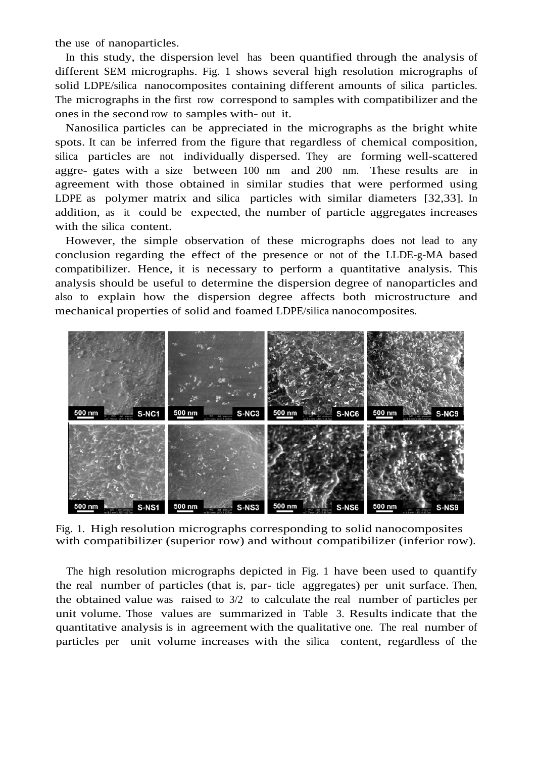the use of nanoparticles.

In this study, the dispersion level has been quantified through the analysis of different SEM micrographs. Fig. 1 shows several high resolution micrographs of solid LDPE/silica nanocomposites containing different amounts of silica particles. The micrographs in the first row correspond to samples with compatibilizer and the ones in the second row to samples with- out it.

Nanosilica particles can be appreciated in the micrographs as the bright white spots. It can be inferred from the figure that regardless of chemical composition, silica particles are not individually dispersed. They are forming well-scattered aggre- gates with a size between 100 nm and 200 nm. These results are in agreement with those obtained in similar studies that were performed using LDPE as polymer matrix and silica particles with similar diameters [32,33]. In addition, as it could be expected, the number of particle aggregates increases with the silica content.

However, the simple observation of these micrographs does not lead to any conclusion regarding the effect of the presence or not of the LLDE-g-MA based compatibilizer. Hence, it is necessary to perform a quantitative analysis. This analysis should be useful to determine the dispersion degree of nanoparticles and also to explain how the dispersion degree affects both microstructure and mechanical properties of solid and foamed LDPE/silica nanocomposites.



Fig. 1. High resolution micrographs corresponding to solid nanocomposites with compatibilizer (superior row) and without compatibilizer (inferior row).

The high resolution micrographs depicted in Fig. 1 have been used to quantify the real number of particles (that is, par- ticle aggregates) per unit surface. Then, the obtained value was raised to 3/2 to calculate the real number of particles per unit volume. Those values are summarized in Table 3. Results indicate that the quantitative analysis is in agreement with the qualitative one. The real number of particles per unit volume increases with the silica content, regardless of the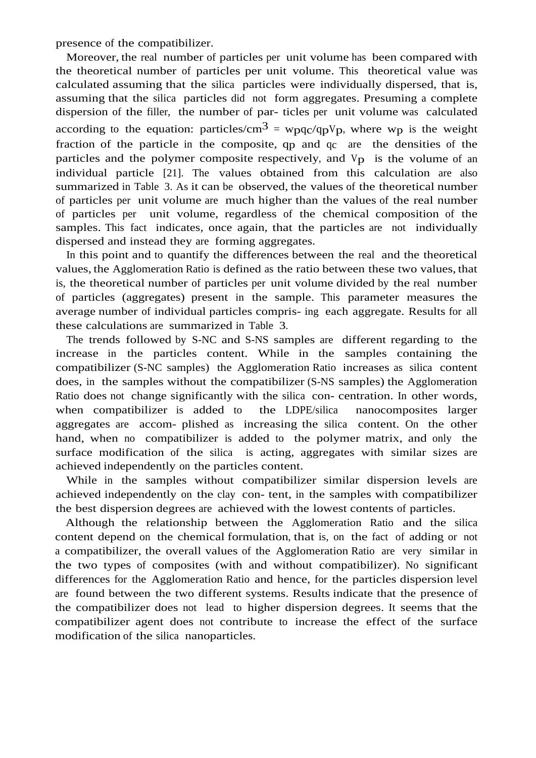presence of the compatibilizer.

Moreover, the real number of particles per unit volume has been compared with the theoretical number of particles per unit volume. This theoretical value was calculated assuming that the silica particles were individually dispersed, that is, assuming that the silica particles did not form aggregates. Presuming a complete dispersion of the filler, the number of par- ticles per unit volume was calculated according to the equation: particles/cm<sup>3</sup> =  $wpqc/qpVp$ , where  $wp$  is the weight fraction of the particle in the composite, qp and qc are the densities of the particles and the polymer composite respectively, and  $V<sub>p</sub>$  is the volume of an individual particle [21]. The values obtained from this calculation are also summarized in Table 3. As it can be observed, the values of the theoretical number of particles per unit volume are much higher than the values of the real number of particles per unit volume, regardless of the chemical composition of the samples. This fact indicates, once again, that the particles are not individually dispersed and instead they are forming aggregates.

In this point and to quantify the differences between the real and the theoretical values, the Agglomeration Ratio is defined as the ratio between these two values, that is, the theoretical number of particles per unit volume divided by the real number of particles (aggregates) present in the sample. This parameter measures the average number of individual particles compris- ing each aggregate. Results for all these calculations are summarized in Table 3.

The trends followed by S-NC and S-NS samples are different regarding to the increase in the particles content. While in the samples containing the compatibilizer (S-NC samples) the Agglomeration Ratio increases as silica content does, in the samples without the compatibilizer (S-NS samples) the Agglomeration Ratio does not change significantly with the silica con- centration. In other words, when compatibilizer is added to the LDPE/silica nanocomposites larger aggregates are accom- plished as increasing the silica content. On the other hand, when no compatibilizer is added to the polymer matrix, and only the surface modification of the silica is acting, aggregates with similar sizes are achieved independently on the particles content.

While in the samples without compatibilizer similar dispersion levels are achieved independently on the clay con- tent, in the samples with compatibilizer the best dispersion degrees are achieved with the lowest contents of particles.

Although the relationship between the Agglomeration Ratio and the silica content depend on the chemical formulation, that is, on the fact of adding or not a compatibilizer, the overall values of the Agglomeration Ratio are very similar in the two types of composites (with and without compatibilizer). No significant differences for the Agglomeration Ratio and hence, for the particles dispersion level are found between the two different systems. Results indicate that the presence of the compatibilizer does not lead to higher dispersion degrees. It seems that the compatibilizer agent does not contribute to increase the effect of the surface modification of the silica nanoparticles.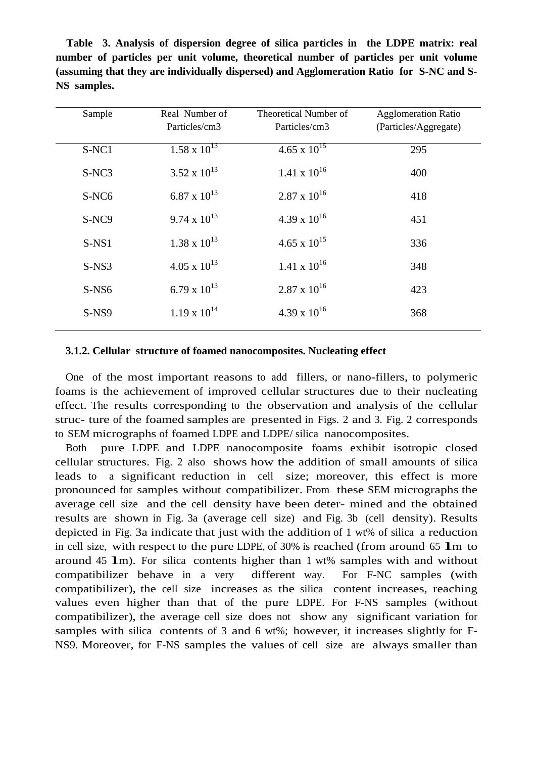**Table 3. Analysis of dispersion degree of silica particles in the LDPE matrix: real number of particles per unit volume, theoretical number of particles per unit volume (assuming that they are individually dispersed) and Agglomeration Ratio for S-NC and S-NS samples.**

| Sample            | Real Number of<br>Particles/cm3 | Theoretical Number of<br>Particles/cm3 | <b>Agglomeration Ratio</b><br>(Particles/Aggregate) |
|-------------------|---------------------------------|----------------------------------------|-----------------------------------------------------|
| S-NC1             | $1.58 \times 10^{13}$           | $4.65 \times 10^{15}$                  | 295                                                 |
| S-NC3             | $3.52 \times 10^{13}$           | $1.41 \times 10^{16}$                  | 400                                                 |
| S-NC <sub>6</sub> | 6.87 x $10^{13}$                | $2.87 \times 10^{16}$                  | 418                                                 |
| S-NC9             | $9.74 \times 10^{13}$           | 4.39 x $10^{16}$                       | 451                                                 |
| $S-NS1$           | $1.38 \times 10^{13}$           | $4.65 \times 10^{15}$                  | 336                                                 |
| $S-NS3$           | $4.05 \times 10^{13}$           | $1.41 \times 10^{16}$                  | 348                                                 |
| $S-NS6$           | 6.79 x $10^{13}$                | $2.87 \times 10^{16}$                  | 423                                                 |
| $S-NS9$           | $1.19 \times 10^{14}$           | $4.39 \times 10^{16}$                  | 368                                                 |

#### **3.1.2. Cellular structure of foamed nanocomposites. Nucleating effect**

One of the most important reasons to add fillers, or nano-fillers, to polymeric foams is the achievement of improved cellular structures due to their nucleating effect. The results corresponding to the observation and analysis of the cellular struc- ture of the foamed samples are presented in Figs. 2 and 3. Fig. 2 corresponds to SEM micrographs of foamed LDPE and LDPE/ silica nanocomposites.

Both pure LDPE and LDPE nanocomposite foams exhibit isotropic closed cellular structures. Fig. 2 also shows how the addition of small amounts of silica leads to a significant reduction in cell size; moreover, this effect is more pronounced for samples without compatibilizer. From these SEM micrographs the average cell size and the cell density have been deter- mined and the obtained results are shown in Fig. 3a (average cell size) and Fig. 3b (cell density). Results depicted in Fig. 3a indicate that just with the addition of 1 wt% of silica a reduction in cell size, with respect to the pure LDPE, of  $30\%$  is reached (from around 65  $\text{1m}$  to around 45 lm). For silica contents higher than 1 wt% samples with and without compatibilizer behave in a very different way. For F-NC samples (with compatibilizer), the cell size increases as the silica content increases, reaching values even higher than that of the pure LDPE. For F-NS samples (without compatibilizer), the average cell size does not show any significant variation for samples with silica contents of 3 and 6 wt%; however, it increases slightly for F-NS9. Moreover, for F-NS samples the values of cell size are always smaller than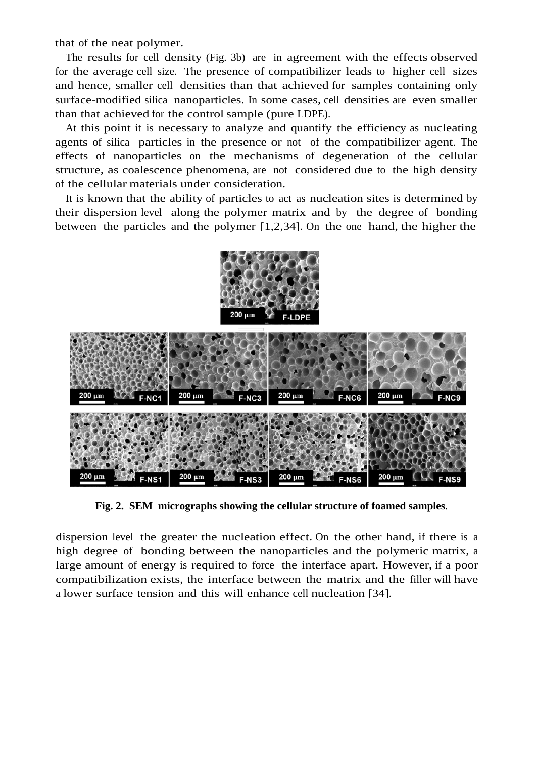that of the neat polymer.

The results for cell density (Fig. 3b) are in agreement with the effects observed for the average cell size. The presence of compatibilizer leads to higher cell sizes and hence, smaller cell densities than that achieved for samples containing only surface-modified silica nanoparticles. In some cases, cell densities are even smaller than that achieved for the control sample (pure LDPE).

At this point it is necessary to analyze and quantify the efficiency as nucleating agents of silica particles in the presence or not of the compatibilizer agent. The effects of nanoparticles on the mechanisms of degeneration of the cellular structure, as coalescence phenomena, are not considered due to the high density of the cellular materials under consideration.

It is known that the ability of particles to act as nucleation sites is determined by their dispersion level along the polymer matrix and by the degree of bonding between the particles and the polymer [1,2,34]. On the one hand, the higher the



**Fig. 2. SEM micrographs showing the cellular structure of foamed samples**.

dispersion level the greater the nucleation effect. On the other hand, if there is a high degree of bonding between the nanoparticles and the polymeric matrix, a large amount of energy is required to force the interface apart. However, if a poor compatibilization exists, the interface between the matrix and the filler will have a lower surface tension and this will enhance cell nucleation [34].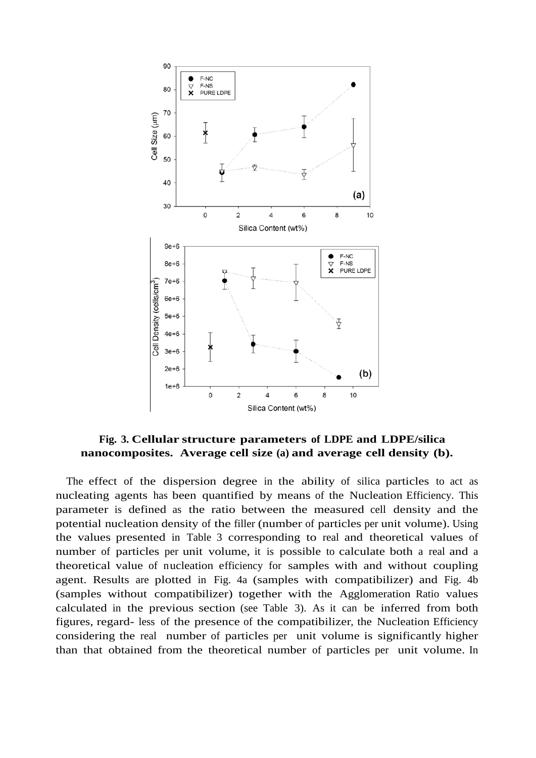

**Fig. 3. Cellular structure parameters of LDPE and LDPE/silica nanocomposites. Average cell size (a) and average cell density (b).** 

The effect of the dispersion degree in the ability of silica particles to act as nucleating agents has been quantified by means of the Nucleation Efficiency. This parameter is defined as the ratio between the measured cell density and the potential nucleation density of the filler (number of particles per unit volume). Using the values presented in Table 3 corresponding to real and theoretical values of number of particles per unit volume, it is possible to calculate both a real and a theoretical value of nucleation efficiency for samples with and without coupling agent. Results are plotted in Fig. 4a (samples with compatibilizer) and Fig. 4b (samples without compatibilizer) together with the Agglomeration Ratio values calculated in the previous section (see Table 3). As it can be inferred from both figures, regard- less of the presence of the compatibilizer, the Nucleation Efficiency considering the real number of particles per unit volume is significantly higher than that obtained from the theoretical number of particles per unit volume. In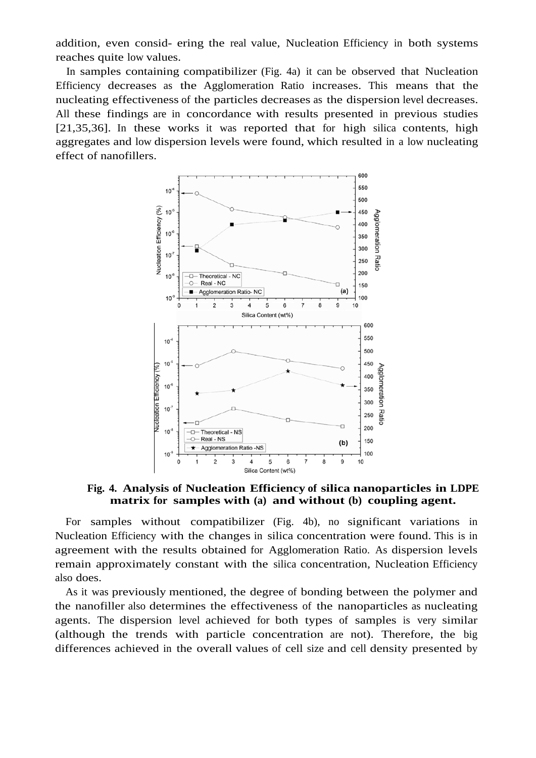addition, even consid- ering the real value, Nucleation Efficiency in both systems reaches quite low values.

In samples containing compatibilizer (Fig. 4a) it can be observed that Nucleation Efficiency decreases as the Agglomeration Ratio increases. This means that the nucleating effectiveness of the particles decreases as the dispersion level decreases. All these findings are in concordance with results presented in previous studies [21,35,36]. In these works it was reported that for high silica contents, high aggregates and low dispersion levels were found, which resulted in a low nucleating effect of nanofillers.



**Fig. 4. Analysis of Nucleation Efficiency of silica nanoparticles in LDPE matrix for samples with (a) and without (b) coupling agent.**

For samples without compatibilizer (Fig. 4b), no significant variations in Nucleation Efficiency with the changes in silica concentration were found. This is in agreement with the results obtained for Agglomeration Ratio. As dispersion levels remain approximately constant with the silica concentration, Nucleation Efficiency also does.

As it was previously mentioned, the degree of bonding between the polymer and the nanofiller also determines the effectiveness of the nanoparticles as nucleating agents. The dispersion level achieved for both types of samples is very similar (although the trends with particle concentration are not). Therefore, the big differences achieved in the overall values of cell size and cell density presented by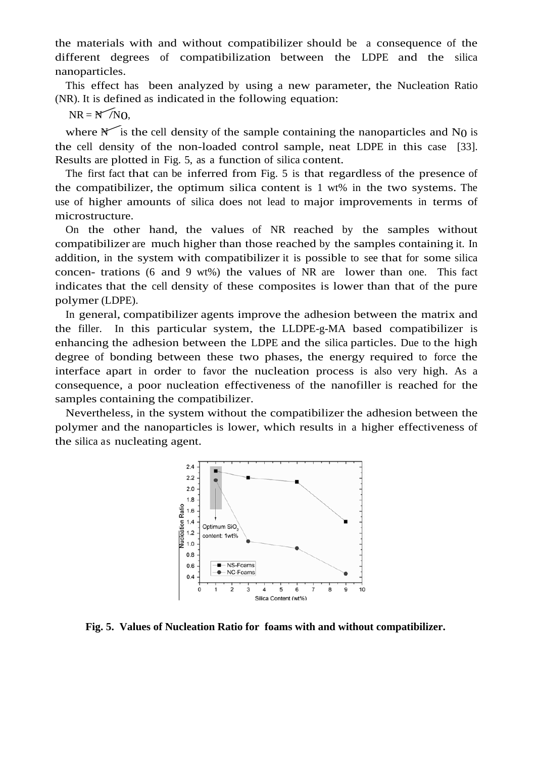the materials with and without compatibilizer should be a consequence of the different degrees of compatibilization between the LDPE and the silica nanoparticles.

This effect has been analyzed by using a new parameter, the Nucleation Ratio (NR). It is defined as indicated in the following equation: This effer<br>R). It is d<br>NR =  $N$ 

 $NR = N/N_0$ 

where  $\mathbb{M}$  is the cell density of the sample containing the nanoparticles and N<sub>0</sub> is the cell density of the non-loaded control sample, neat LDPE in this case [33]. Results are plotted in Fig. 5, as a function of silica content.

The first fact that can be inferred from Fig. 5 is that regardless of the presence of the compatibilizer, the optimum silica content is 1 wt% in the two systems. The use of higher amounts of silica does not lead to major improvements in terms of microstructure.

On the other hand, the values of NR reached by the samples without compatibilizer are much higher than those reached by the samples containing it. In addition, in the system with compatibilizer it is possible to see that for some silica concen- trations (6 and 9 wt%) the values of NR are lower than one. This fact indicates that the cell density of these composites is lower than that of the pure polymer (LDPE).

In general, compatibilizer agents improve the adhesion between the matrix and the filler. In this particular system, the LLDPE-g-MA based compatibilizer is enhancing the adhesion between the LDPE and the silica particles. Due to the high degree of bonding between these two phases, the energy required to force the interface apart in order to favor the nucleation process is also very high. As a consequence, a poor nucleation effectiveness of the nanofiller is reached for the samples containing the compatibilizer.

Nevertheless, in the system without the compatibilizer the adhesion between the polymer and the nanoparticles is lower, which results in a higher effectiveness of the silica as nucleating agent.



**Fig. 5. Values of Nucleation Ratio for foams with and without compatibilizer.**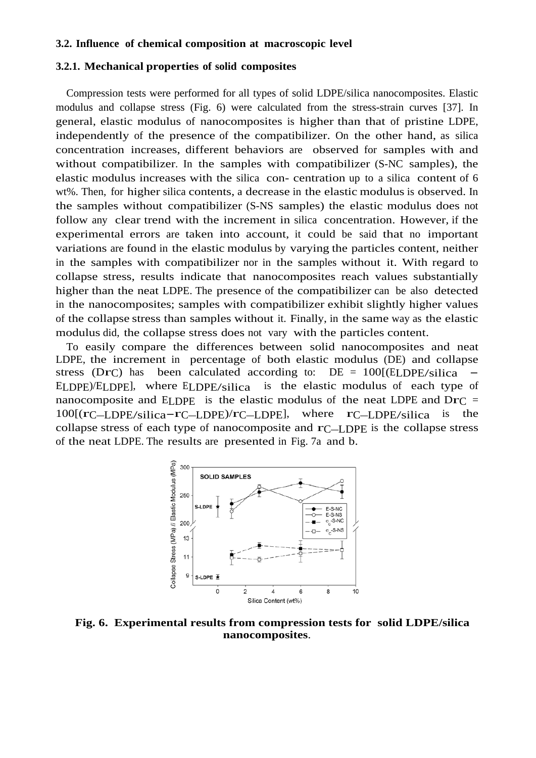#### **3.2. Influence of chemical composition at macroscopic level**

#### **3.2.1. Mechanical properties of solid composites**

Compression tests were performed for all types of solid LDPE/silica nanocomposites. Elastic modulus and collapse stress (Fig. 6) were calculated from the stress-strain curves [37]. In general, elastic modulus of nanocomposites is higher than that of pristine LDPE, independently of the presence of the compatibilizer. On the other hand, as silica concentration increases, different behaviors are observed for samples with and without compatibilizer. In the samples with compatibilizer (S-NC samples), the elastic modulus increases with the silica con- centration up to a silica content of 6 wt%. Then, for higher silica contents, a decrease in the elastic modulus is observed. In the samples without compatibilizer (S-NS samples) the elastic modulus does not follow any clear trend with the increment in silica concentration. However, if the experimental errors are taken into account, it could be said that no important variations are found in the elastic modulus by varying the particles content, neither in the samples with compatibilizer nor in the samples without it. With regard to collapse stress, results indicate that nanocomposites reach values substantially higher than the neat LDPE. The presence of the compatibilizer can be also detected in the nanocomposites; samples with compatibilizer exhibit slightly higher values of the collapse stress than samples without it. Finally, in the same way as the elastic modulus did, the collapse stress does not vary with the particles content.

To easily compare the differences between solid nanocomposites and neat LDPE, the increment in percentage of both elastic modulus (DE) and collapse stress (DrC) has been calculated according to:  $DE = 100[(ELDPE/silica -$ ELDPE)/ELDPE], where ELDPE/silica is the elastic modulus of each type of nanocomposite and ELDPE is the elastic modulus of the neat LDPE and  $DrC =$ 100[(rC–LDPE/silica-rC–LDPE)/rC–LDPE], where rC–LDPE/silica is the collapse stress of each type of nanocomposite and  $r_{\text{C}}$ –LDPE is the collapse stress of the neat LDPE. The results are presented in Fig. 7a and b.



**Fig. 6. Experimental results from compression tests for solid LDPE/silica nanocomposites**.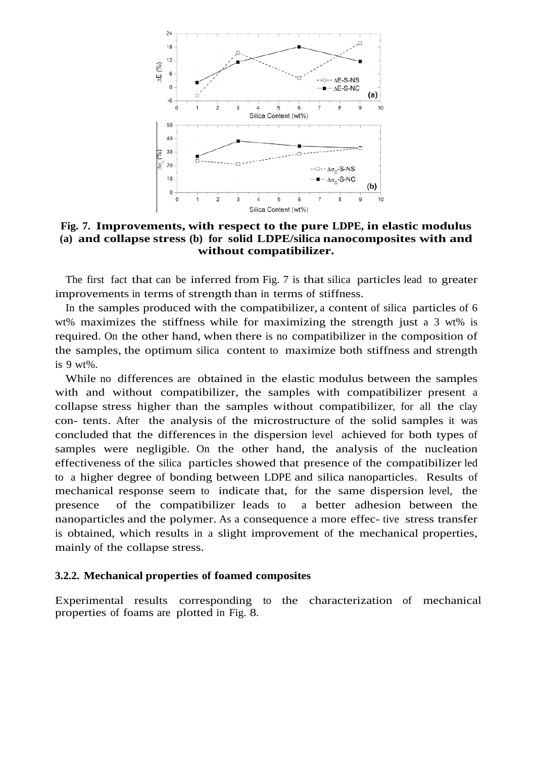

**Fig. 7. Improvements, with respect to the pure LDPE, in elastic modulus (a) and collapse stress (b) for solid LDPE/silica nanocomposites with and without compatibilizer.**

The first fact that can be inferred from Fig. 7 is that silica particles lead to greater improvements in terms of strength than in terms of stiffness.

In the samples produced with the compatibilizer, a content of silica particles of 6 wt% maximizes the stiffness while for maximizing the strength just a 3 wt% is required. On the other hand, when there is no compatibilizer in the composition of the samples, the optimum silica content to maximize both stiffness and strength is 9 wt%.

While no differences are obtained in the elastic modulus between the samples with and without compatibilizer, the samples with compatibilizer present a collapse stress higher than the samples without compatibilizer, for all the clay con- tents. After the analysis of the microstructure of the solid samples it was concluded that the differences in the dispersion level achieved for both types of samples were negligible. On the other hand, the analysis of the nucleation effectiveness of the silica particles showed that presence of the compatibilizer led to a higher degree of bonding between LDPE and silica nanoparticles. Results of mechanical response seem to indicate that, for the same dispersion level, the presence of the compatibilizer leads to a better adhesion between the nanoparticles and the polymer. As a consequence a more effec- tive stress transfer is obtained, which results in a slight improvement of the mechanical properties, mainly of the collapse stress.

#### **3.2.2. Mechanical properties of foamed composites**

Experimental results corresponding to the characterization of mechanical properties of foams are plotted in Fig. 8.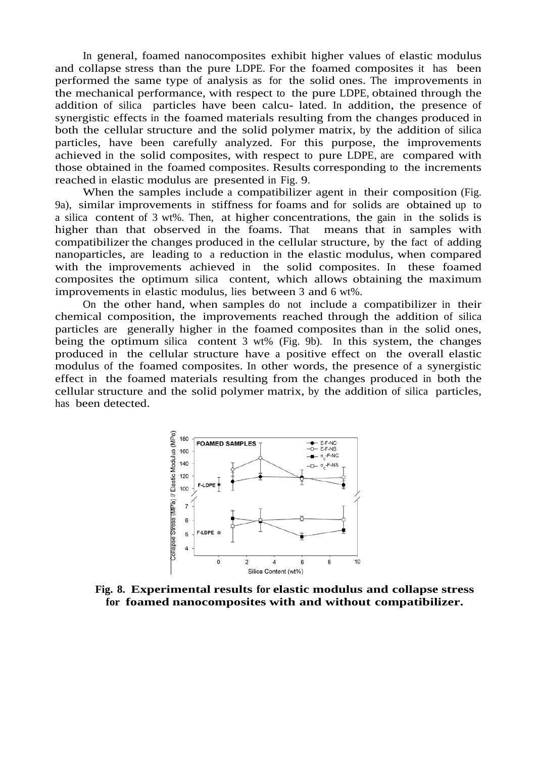In general, foamed nanocomposites exhibit higher values of elastic modulus and collapse stress than the pure LDPE. For the foamed composites it has been performed the same type of analysis as for the solid ones. The improvements in the mechanical performance, with respect to the pure LDPE, obtained through the addition of silica particles have been calcu- lated. In addition, the presence of synergistic effects in the foamed materials resulting from the changes produced in both the cellular structure and the solid polymer matrix, by the addition of silica particles, have been carefully analyzed. For this purpose, the improvements achieved in the solid composites, with respect to pure LDPE, are compared with those obtained in the foamed composites. Results corresponding to the increments reached in elastic modulus are presented in Fig. 9.

When the samples include a compatibilizer agent in their composition (Fig. 9a), similar improvements in stiffness for foams and for solids are obtained up to a silica content of 3 wt%. Then, at higher concentrations, the gain in the solids is higher than that observed in the foams. That means that in samples with compatibilizer the changes produced in the cellular structure, by the fact of adding nanoparticles, are leading to a reduction in the elastic modulus, when compared with the improvements achieved in the solid composites. In these foamed composites the optimum silica content, which allows obtaining the maximum improvements in elastic modulus, lies between 3 and 6 wt%.

On the other hand, when samples do not include a compatibilizer in their chemical composition, the improvements reached through the addition of silica particles are generally higher in the foamed composites than in the solid ones, being the optimum silica content 3 wt% (Fig. 9b). In this system, the changes produced in the cellular structure have a positive effect on the overall elastic modulus of the foamed composites. In other words, the presence of a synergistic effect in the foamed materials resulting from the changes produced in both the cellular structure and the solid polymer matrix, by the addition of silica particles, has been detected.



**Fig. 8. Experimental results for elastic modulus and collapse stress for foamed nanocomposites with and without compatibilizer.**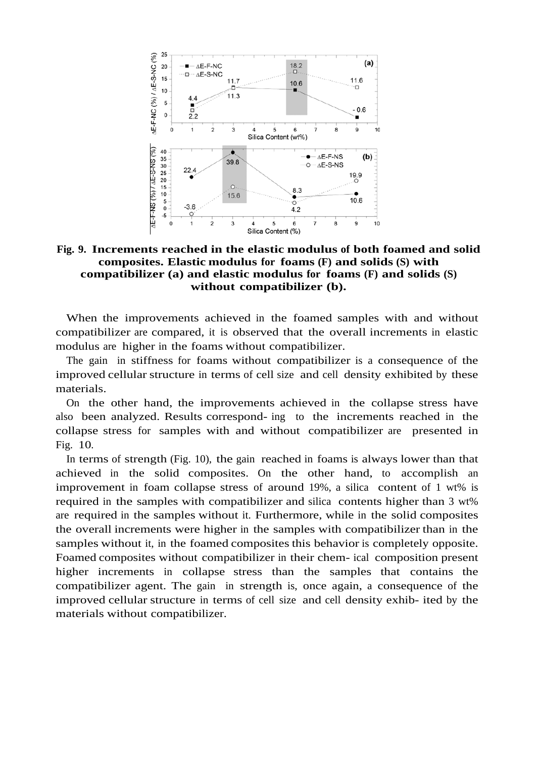

#### **Fig. 9. Increments reached in the elastic modulus of both foamed and solid composites. Elastic modulus for foams (F) and solids (S) with compatibilizer (a) and elastic modulus for foams (F) and solids (S) without compatibilizer (b).**

When the improvements achieved in the foamed samples with and without compatibilizer are compared, it is observed that the overall increments in elastic modulus are higher in the foams without compatibilizer.

The gain in stiffness for foams without compatibilizer is a consequence of the improved cellular structure in terms of cell size and cell density exhibited by these materials.

On the other hand, the improvements achieved in the collapse stress have also been analyzed. Results correspond- ing to the increments reached in the collapse stress for samples with and without compatibilizer are presented in Fig. 10.

In terms of strength (Fig. 10), the gain reached in foams is always lower than that achieved in the solid composites. On the other hand, to accomplish an improvement in foam collapse stress of around 19%, a silica content of 1 wt% is required in the samples with compatibilizer and silica contents higher than 3 wt% are required in the samples without it. Furthermore, while in the solid composites the overall increments were higher in the samples with compatibilizer than in the samples without it, in the foamed composites this behavior is completely opposite. Foamed composites without compatibilizer in their chem- ical composition present higher increments in collapse stress than the samples that contains the compatibilizer agent. The gain in strength is, once again, a consequence of the improved cellular structure in terms of cell size and cell density exhib- ited by the materials without compatibilizer.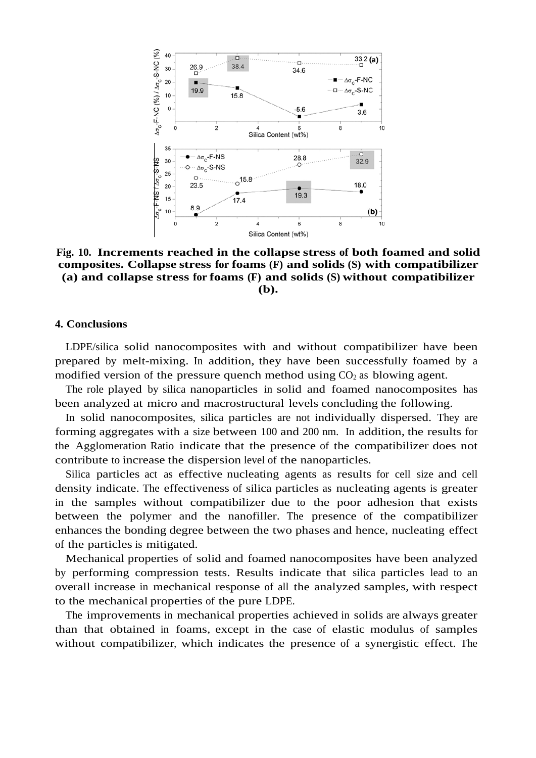

**Fig. 10. Increments reached in the collapse stress of both foamed and solid composites. Collapse stress for foams (F) and solids (S) with compatibilizer (a) and collapse stress for foams (F) and solids (S) without compatibilizer (b).** 

#### **4. Conclusions**

LDPE/silica solid nanocomposites with and without compatibilizer have been prepared by melt-mixing. In addition, they have been successfully foamed by a modified version of the pressure quench method using  $CO<sub>2</sub>$  as blowing agent.

The role played by silica nanoparticles in solid and foamed nanocomposites has been analyzed at micro and macrostructural levels concluding the following.

In solid nanocomposites, silica particles are not individually dispersed. They are forming aggregates with a size between 100 and 200 nm. In addition, the results for the Agglomeration Ratio indicate that the presence of the compatibilizer does not contribute to increase the dispersion level of the nanoparticles.

Silica particles act as effective nucleating agents as results for cell size and cell density indicate. The effectiveness of silica particles as nucleating agents is greater in the samples without compatibilizer due to the poor adhesion that exists between the polymer and the nanofiller. The presence of the compatibilizer enhances the bonding degree between the two phases and hence, nucleating effect of the particles is mitigated.

Mechanical properties of solid and foamed nanocomposites have been analyzed by performing compression tests. Results indicate that silica particles lead to an overall increase in mechanical response of all the analyzed samples, with respect to the mechanical properties of the pure LDPE.

The improvements in mechanical properties achieved in solids are always greater than that obtained in foams, except in the case of elastic modulus of samples without compatibilizer, which indicates the presence of a synergistic effect. The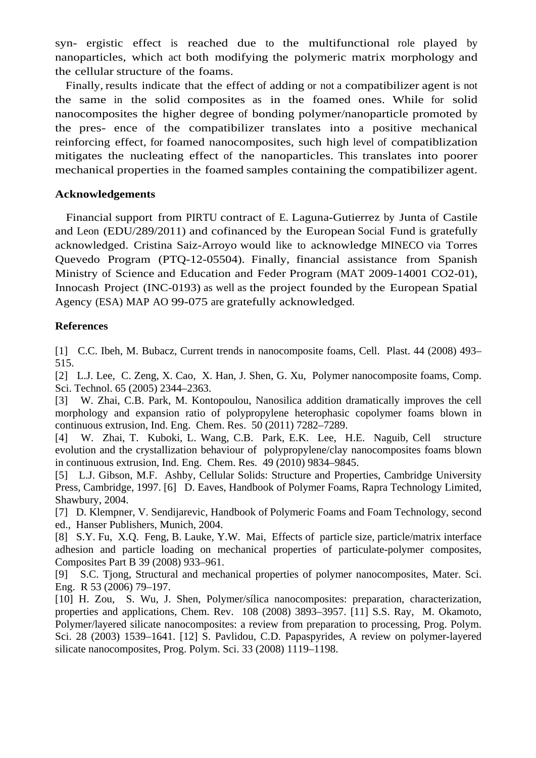syn- ergistic effect is reached due to the multifunctional role played by nanoparticles, which act both modifying the polymeric matrix morphology and the cellular structure of the foams.

Finally, results indicate that the effect of adding or not a compatibilizer agent is not the same in the solid composites as in the foamed ones. While for solid nanocomposites the higher degree of bonding polymer/nanoparticle promoted by the pres- ence of the compatibilizer translates into a positive mechanical reinforcing effect, for foamed nanocomposites, such high level of compatiblization mitigates the nucleating effect of the nanoparticles. This translates into poorer mechanical properties in the foamed samples containing the compatibilizer agent.

#### **Acknowledgements**

Financial support from PIRTU contract of E. Laguna-Gutierrez by Junta of Castile and Leon (EDU/289/2011) and cofinanced by the European Social Fund is gratefully acknowledged. Cristina Saiz-Arroyo would like to acknowledge MINECO via Torres Quevedo Program (PTQ-12-05504). Finally, financial assistance from Spanish Ministry of Science and Education and Feder Program (MAT 2009-14001 CO2-01), Innocash Project (INC-0193) as well as the project founded by the European Spatial Agency (ESA) MAP AO 99-075 are gratefully acknowledged.

#### **References**

[1] C.C. Ibeh, M. Bubacz, Current trends in nanocomposite foams, Cell. Plast. 44 (2008) 493– 515.

[2] L.J. Lee, C. Zeng, X. Cao, X. Han, J. Shen, G. Xu, Polymer nanocomposite foams, Comp. Sci. Technol. 65 (2005) 2344–2363.

[3] W. Zhai, C.B. Park, M. Kontopoulou, Nanosilica addition dramatically improves the cell morphology and expansion ratio of polypropylene heterophasic copolymer foams blown in continuous extrusion, Ind. Eng. Chem. Res. 50 (2011) 7282–7289.

[4] W. Zhai, T. Kuboki, L. Wang, C.B. Park, E.K. Lee, H.E. Naguib, Cell structure evolution and the crystallization behaviour of polypropylene/clay nanocomposites foams blown in continuous extrusion, Ind. Eng. Chem. Res. 49 (2010) 9834–9845.

[5] L.J. Gibson, M.F. Ashby, Cellular Solids: Structure and Properties, Cambridge University Press, Cambridge, 1997. [6] D. Eaves, Handbook of Polymer Foams, Rapra Technology Limited, Shawbury, 2004.

[7] D. Klempner, V. Sendijarevic, Handbook of Polymeric Foams and Foam Technology, second ed., Hanser Publishers, Munich, 2004.

[8] S.Y. Fu, X.Q. Feng, B. Lauke, Y.W. Mai, Effects of particle size, particle/matrix interface adhesion and particle loading on mechanical properties of particulate-polymer composites, Composites Part B 39 (2008) 933–961.

[9] S.C. Tjong, Structural and mechanical properties of polymer nanocomposites, Mater. Sci. Eng. R 53 (2006) 79–197.

[10] H. Zou, S. Wu, J. Shen, Polymer/sílica nanocomposites: preparation, characterization, properties and applications, Chem. Rev. 108 (2008) 3893–3957. [11] S.S. Ray, M. Okamoto, Polymer/layered silicate nanocomposites: a review from preparation to processing, Prog. Polym. Sci. 28 (2003) 1539–1641. [12] S. Pavlidou, C.D. Papaspyrides, A review on polymer-layered silicate nanocomposites, Prog. Polym. Sci. 33 (2008) 1119–1198.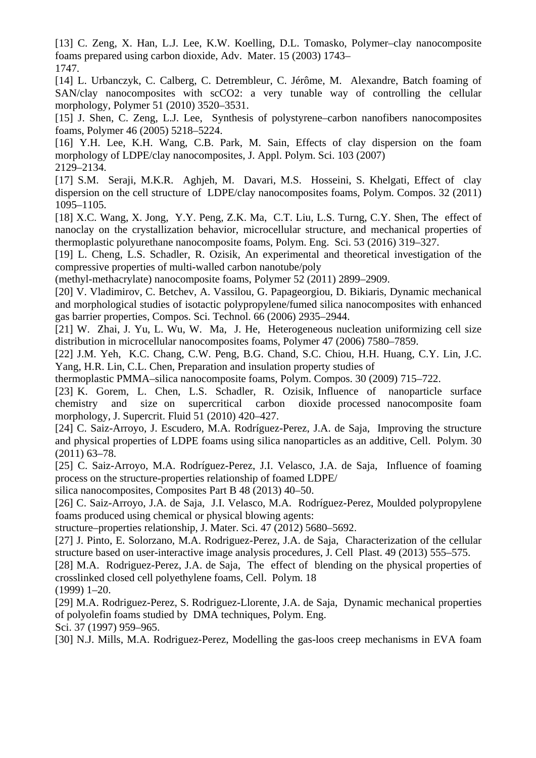[13] C. Zeng, X. Han, L.J. Lee, K.W. Koelling, D.L. Tomasko, Polymer–clay nanocomposite foams prepared using carbon dioxide, Adv. Mater. 15 (2003) 1743– 1747.

[14] L. Urbanczyk, C. Calberg, C. Detrembleur, C. Jérôme, M. Alexandre, Batch foaming of SAN/clay nanocomposites with scCO2: a very tunable way of controlling the cellular morphology, Polymer 51 (2010) 3520–3531.

[15] J. Shen, C. Zeng, L.J. Lee, Synthesis of polystyrene–carbon nanofibers nanocomposites foams, Polymer 46 (2005) 5218–5224.

[16] Y.H. Lee, K.H. Wang, C.B. Park, M. Sain, Effects of clay dispersion on the foam morphology of LDPE/clay nanocomposites, J. Appl. Polym. Sci. 103 (2007) 2129–2134.

[17] S.M. Seraji, M.K.R. Aghjeh, M. Davari, M.S. Hosseini, S. Khelgati, Effect of clay dispersion on the cell structure of LDPE/clay nanocomposites foams, Polym. Compos. 32 (2011) 1095–1105.

[18] X.C. Wang, X. Jong, Y.Y. Peng, Z.K. Ma, C.T. Liu, L.S. Turng, C.Y. Shen, The effect of nanoclay on the crystallization behavior, microcellular structure, and mechanical properties of thermoplastic polyurethane nanocomposite foams, Polym. Eng. Sci. 53 (2016) 319–327.

[19] L. Cheng, L.S. Schadler, R. Ozisik, An experimental and theoretical investigation of the compressive properties of multi-walled carbon nanotube/poly

(methyl-methacrylate) nanocomposite foams, Polymer 52 (2011) 2899–2909.

[20] V. Vladimirov, C. Betchev, A. Vassilou, G. Papageorgiou, D. Bikiaris, Dynamic mechanical and morphological studies of isotactic polypropylene/fumed silica nanocomposites with enhanced gas barrier properties, Compos. Sci. Technol. 66 (2006) 2935–2944.

[21] W. Zhai, J. Yu, L. Wu, W. Ma, J. He, Heterogeneous nucleation uniformizing cell size distribution in microcellular nanocomposites foams, Polymer 47 (2006) 7580–7859.

[22] J.M. Yeh, K.C. Chang, C.W. Peng, B.G. Chand, S.C. Chiou, H.H. Huang, C.Y. Lin, J.C. Yang, H.R. Lin, C.L. Chen, Preparation and insulation property studies of

thermoplastic PMMA–silica nanocomposite foams, Polym. Compos. 30 (2009) 715–722.

[23] K. Gorem, L. Chen, L.S. Schadler, R. Ozisik, Influence of nanoparticle surface chemistry and size on supercritical carbon dioxide processed nanocomposite foam morphology, J. Supercrit. Fluid 51 (2010) 420–427.

[24] C. Saiz-Arroyo, J. Escudero, M.A. Rodríguez-Perez, J.A. de Saja, Improving the structure and physical properties of LDPE foams using silica nanoparticles as an additive, Cell. Polym. 30 (2011) 63–78.

[25] C. Saiz-Arroyo, M.A. Rodríguez-Perez, J.I. Velasco, J.A. de Saja, Influence of foaming process on the structure-properties relationship of foamed LDPE/

silica nanocomposites, Composites Part B 48 (2013) 40–50.

[26] C. Saiz-Arroyo, J.A. de Saja, J.I. Velasco, M.A. Rodríguez-Perez, Moulded polypropylene foams produced using chemical or physical blowing agents:

structure–properties relationship, J. Mater. Sci. 47 (2012) 5680–5692.

[27] J. Pinto, E. Solorzano, M.A. Rodriguez-Perez, J.A. de Saja, Characterization of the cellular structure based on user-interactive image analysis procedures, J. Cell Plast. 49 (2013) 555–575.

[28] M.A. Rodriguez-Perez, J.A. de Saja, The effect of blending on the physical properties of crosslinked closed cell polyethylene foams, Cell. Polym. 18

(1999) 1–20.

[29] M.A. Rodriguez-Perez, S. Rodriguez-Llorente, J.A. de Saja, Dynamic mechanical properties of polyolefin foams studied by DMA techniques, Polym. Eng.

Sci. 37 (1997) 959–965.

[30] N.J. Mills, M.A. Rodriguez-Perez, Modelling the gas-loos creep mechanisms in EVA foam